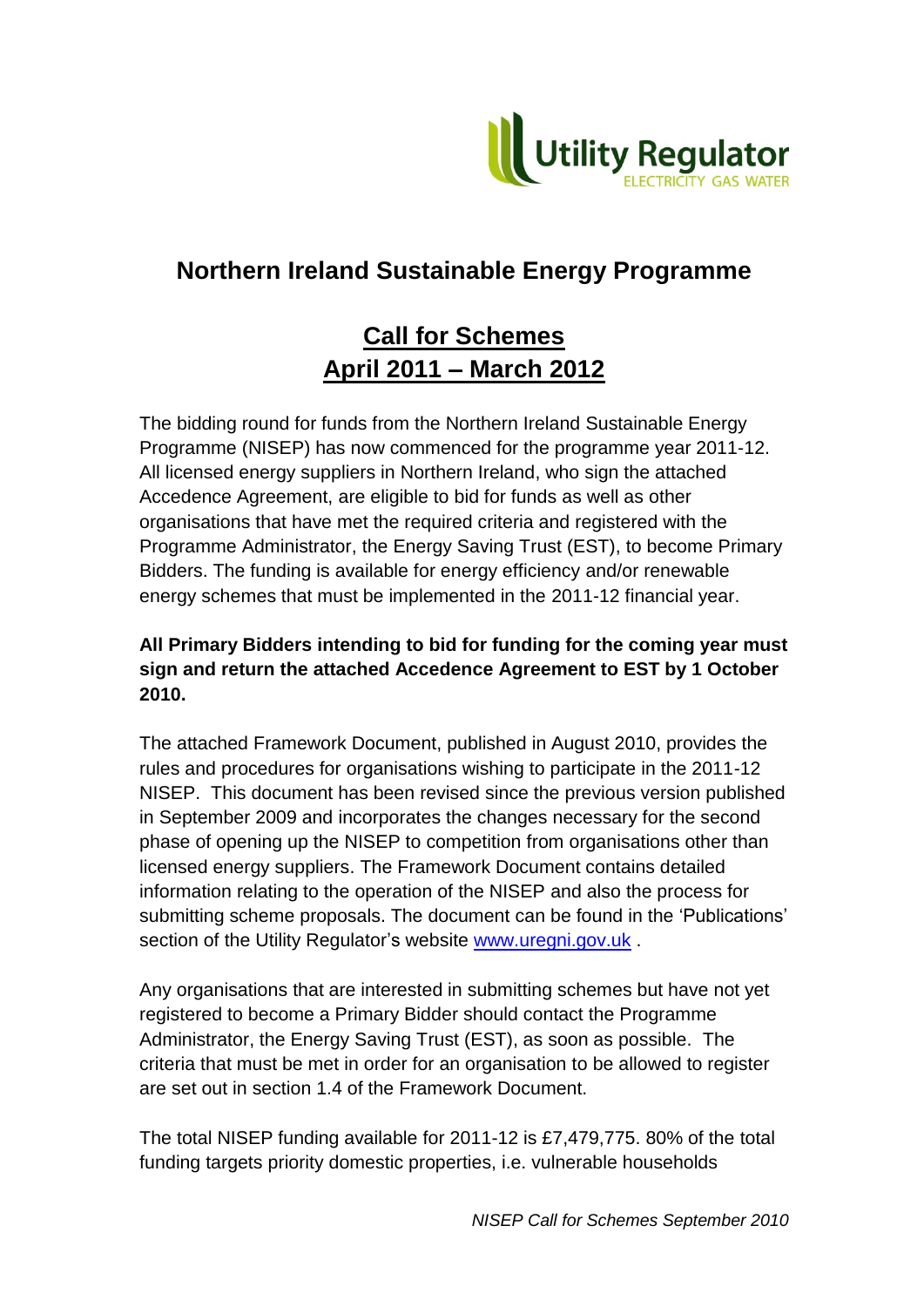

# **Northern Ireland Sustainable Energy Programme**

# **Call for Schemes April 2011 – March 2012**

The bidding round for funds from the Northern Ireland Sustainable Energy Programme (NISEP) has now commenced for the programme year 2011-12. All licensed energy suppliers in Northern Ireland, who sign the attached Accedence Agreement, are eligible to bid for funds as well as other organisations that have met the required criteria and registered with the Programme Administrator, the Energy Saving Trust (EST), to become Primary Bidders. The funding is available for energy efficiency and/or renewable energy schemes that must be implemented in the 2011-12 financial year.

# **All Primary Bidders intending to bid for funding for the coming year must sign and return the attached Accedence Agreement to EST by 1 October 2010.**

The attached Framework Document, published in August 2010, provides the rules and procedures for organisations wishing to participate in the 2011-12 NISEP. This document has been revised since the previous version published in September 2009 and incorporates the changes necessary for the second phase of opening up the NISEP to competition from organisations other than licensed energy suppliers. The Framework Document contains detailed information relating to the operation of the NISEP and also the process for submitting scheme proposals. The document can be found in the "Publications" section of the Utility Regulator's website [www.uregni.gov.uk](http://www.uregni.gov.uk/).

Any organisations that are interested in submitting schemes but have not yet registered to become a Primary Bidder should contact the Programme Administrator, the Energy Saving Trust (EST), as soon as possible. The criteria that must be met in order for an organisation to be allowed to register are set out in section 1.4 of the Framework Document.

The total NISEP funding available for 2011-12 is £7,479,775. 80% of the total funding targets priority domestic properties, i.e. vulnerable households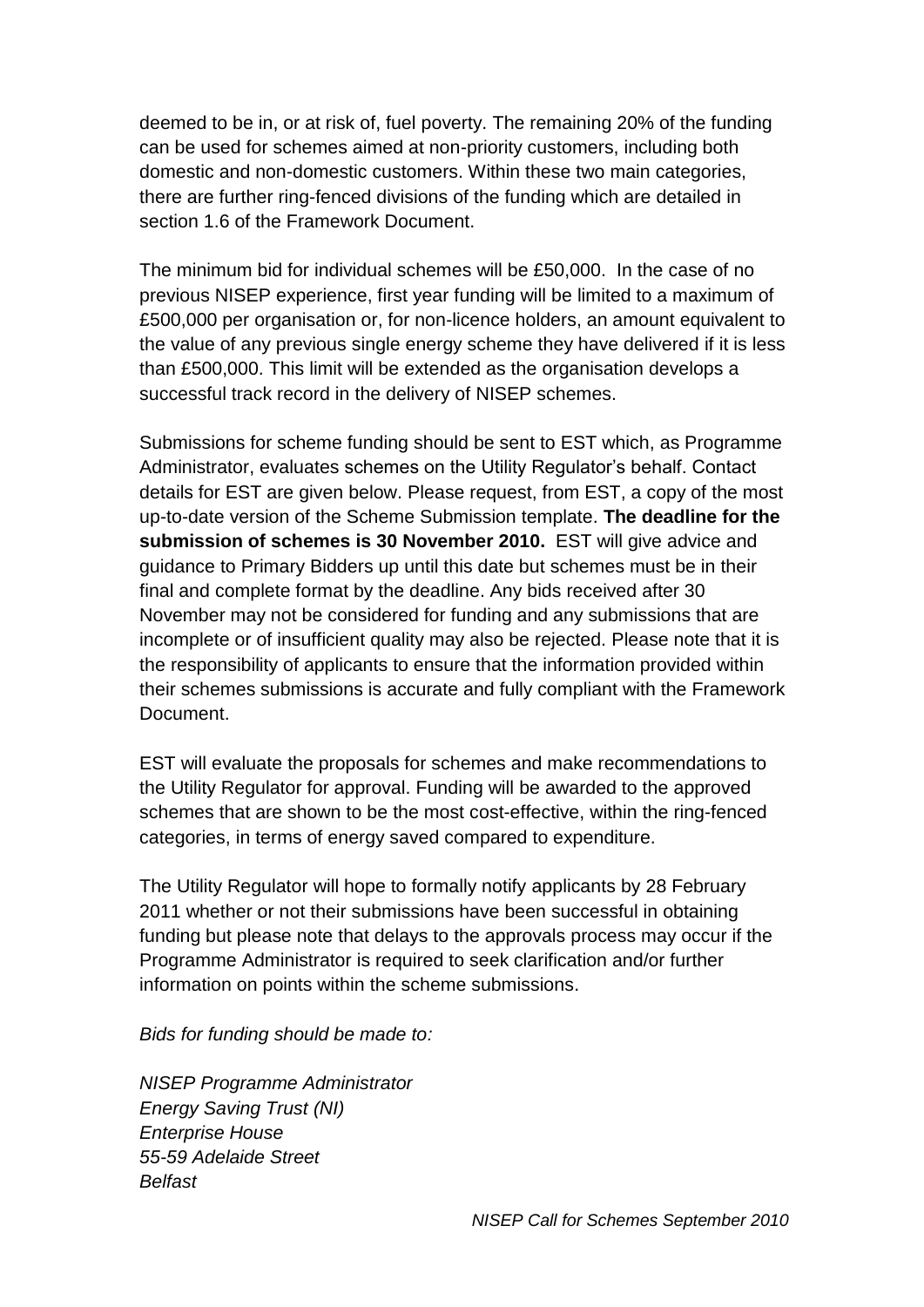deemed to be in, or at risk of, fuel poverty. The remaining 20% of the funding can be used for schemes aimed at non-priority customers, including both domestic and non-domestic customers. Within these two main categories, there are further ring-fenced divisions of the funding which are detailed in section 1.6 of the Framework Document.

The minimum bid for individual schemes will be £50,000. In the case of no previous NISEP experience, first year funding will be limited to a maximum of £500,000 per organisation or, for non-licence holders, an amount equivalent to the value of any previous single energy scheme they have delivered if it is less than £500,000. This limit will be extended as the organisation develops a successful track record in the delivery of NISEP schemes.

Submissions for scheme funding should be sent to EST which, as Programme Administrator, evaluates schemes on the Utility Regulator"s behalf. Contact details for EST are given below. Please request, from EST, a copy of the most up-to-date version of the Scheme Submission template. **The deadline for the submission of schemes is 30 November 2010.** EST will give advice and guidance to Primary Bidders up until this date but schemes must be in their final and complete format by the deadline. Any bids received after 30 November may not be considered for funding and any submissions that are incomplete or of insufficient quality may also be rejected. Please note that it is the responsibility of applicants to ensure that the information provided within their schemes submissions is accurate and fully compliant with the Framework Document.

EST will evaluate the proposals for schemes and make recommendations to the Utility Regulator for approval. Funding will be awarded to the approved schemes that are shown to be the most cost-effective, within the ring-fenced categories, in terms of energy saved compared to expenditure.

The Utility Regulator will hope to formally notify applicants by 28 February 2011 whether or not their submissions have been successful in obtaining funding but please note that delays to the approvals process may occur if the Programme Administrator is required to seek clarification and/or further information on points within the scheme submissions.

#### *Bids for funding should be made to:*

*NISEP Programme Administrator Energy Saving Trust (NI) Enterprise House 55-59 Adelaide Street Belfast*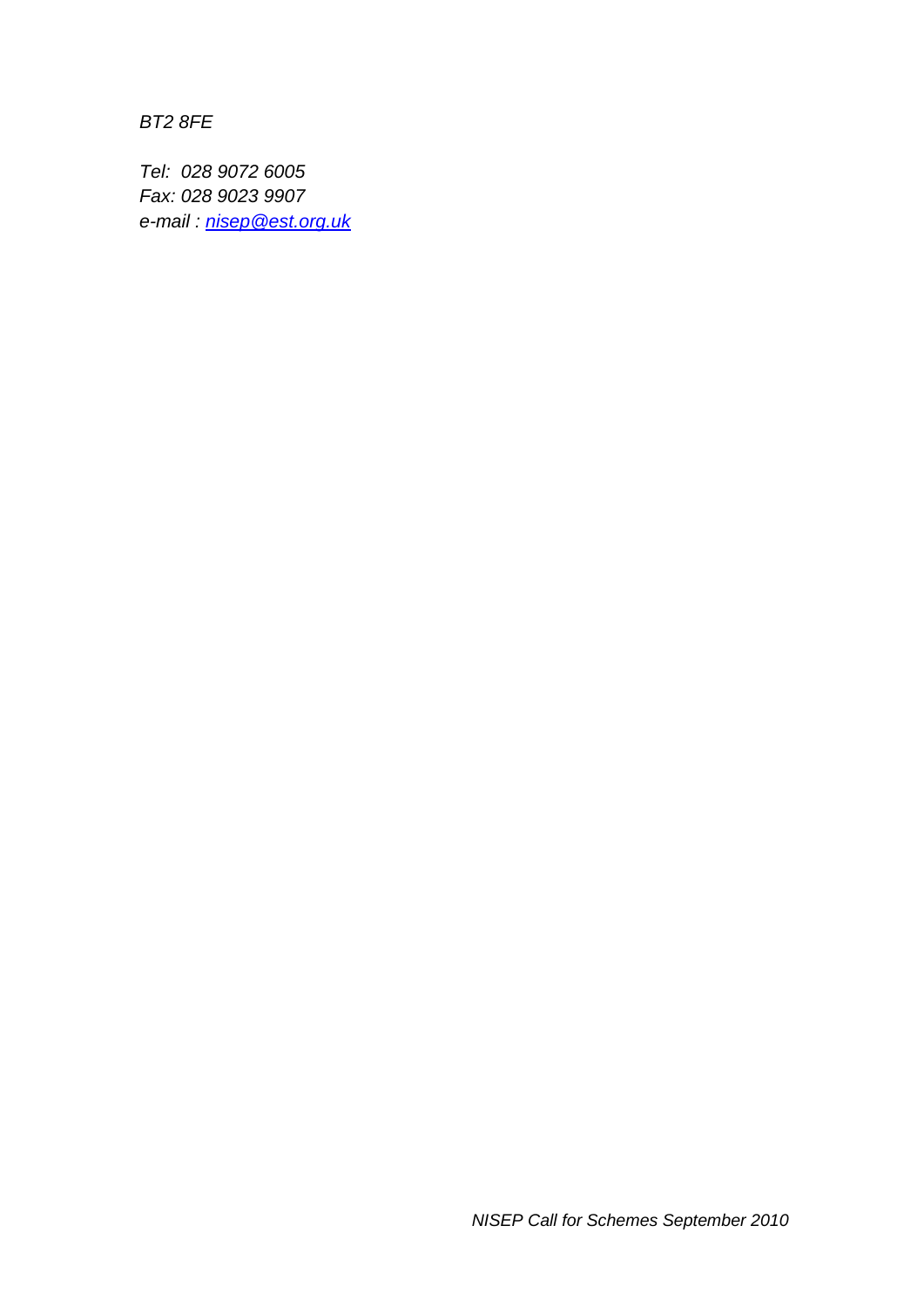*BT2 8FE*

*Tel: 028 9072 6005 Fax: 028 9023 9907 e-mail : [nisep@est.org.uk](mailto:nisep@est.org.uk)*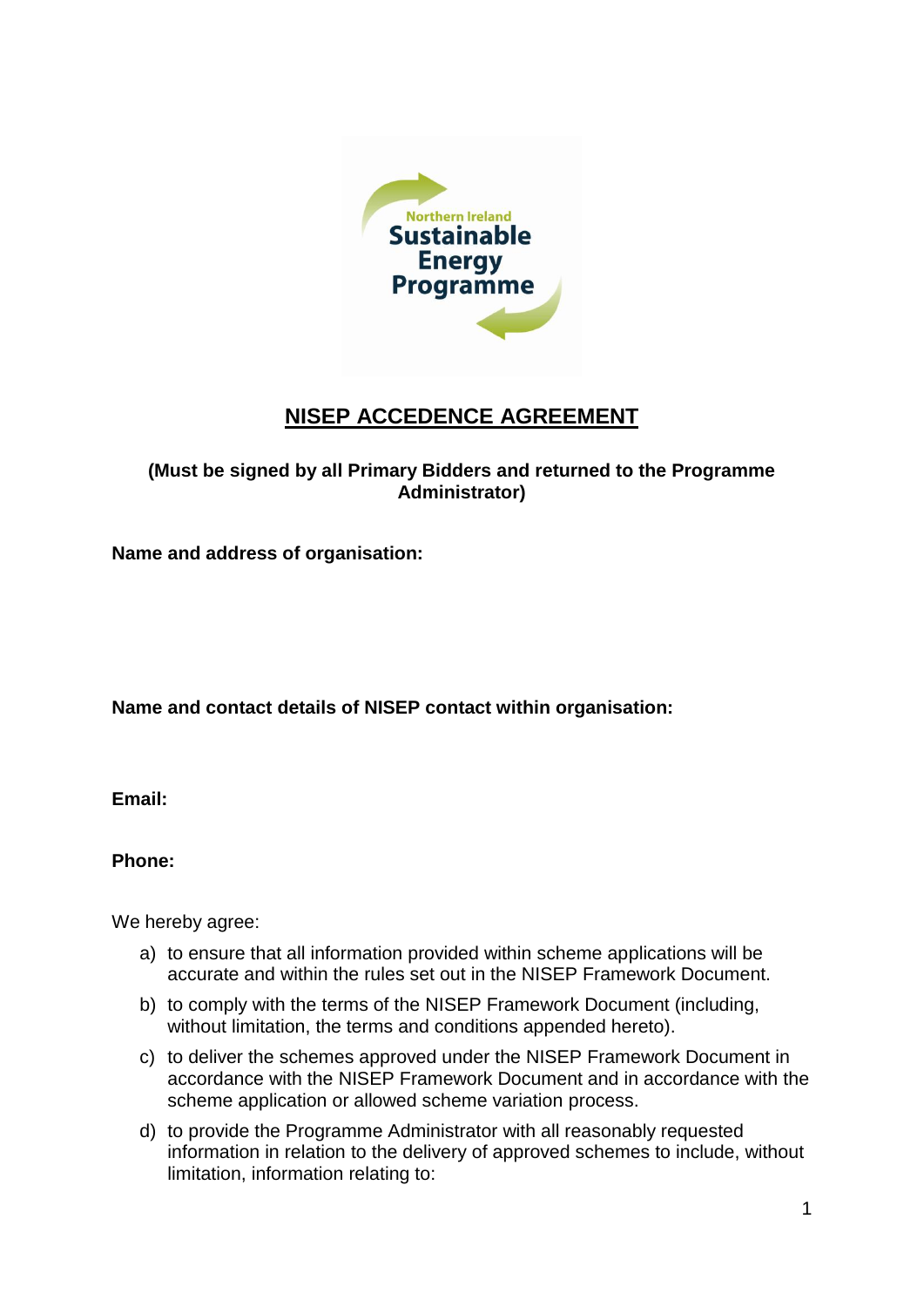

# **NISEP ACCEDENCE AGREEMENT**

### **(Must be signed by all Primary Bidders and returned to the Programme Administrator)**

**Name and address of organisation:**

**Name and contact details of NISEP contact within organisation:**

**Email:**

**Phone:**

We hereby agree:

- a) to ensure that all information provided within scheme applications will be accurate and within the rules set out in the NISEP Framework Document.
- b) to comply with the terms of the NISEP Framework Document (including, without limitation, the terms and conditions appended hereto).
- c) to deliver the schemes approved under the NISEP Framework Document in accordance with the NISEP Framework Document and in accordance with the scheme application or allowed scheme variation process.
- d) to provide the Programme Administrator with all reasonably requested information in relation to the delivery of approved schemes to include, without limitation, information relating to: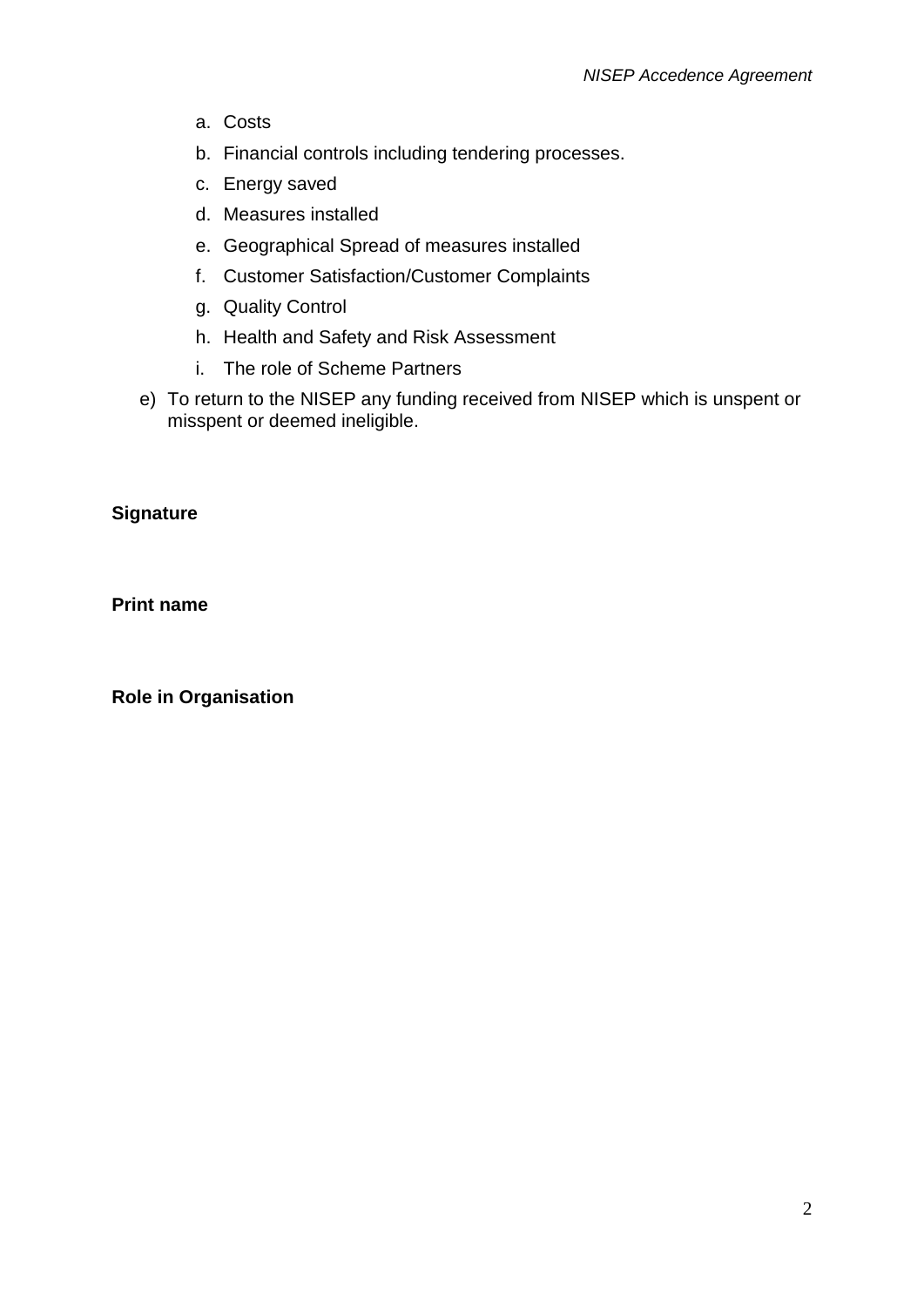- a. Costs
- b. Financial controls including tendering processes.
- c. Energy saved
- d. Measures installed
- e. Geographical Spread of measures installed
- f. Customer Satisfaction/Customer Complaints
- g. Quality Control
- h. Health and Safety and Risk Assessment
- i. The role of Scheme Partners
- e) To return to the NISEP any funding received from NISEP which is unspent or misspent or deemed ineligible.

### **Signature**

**Print name**

**Role in Organisation**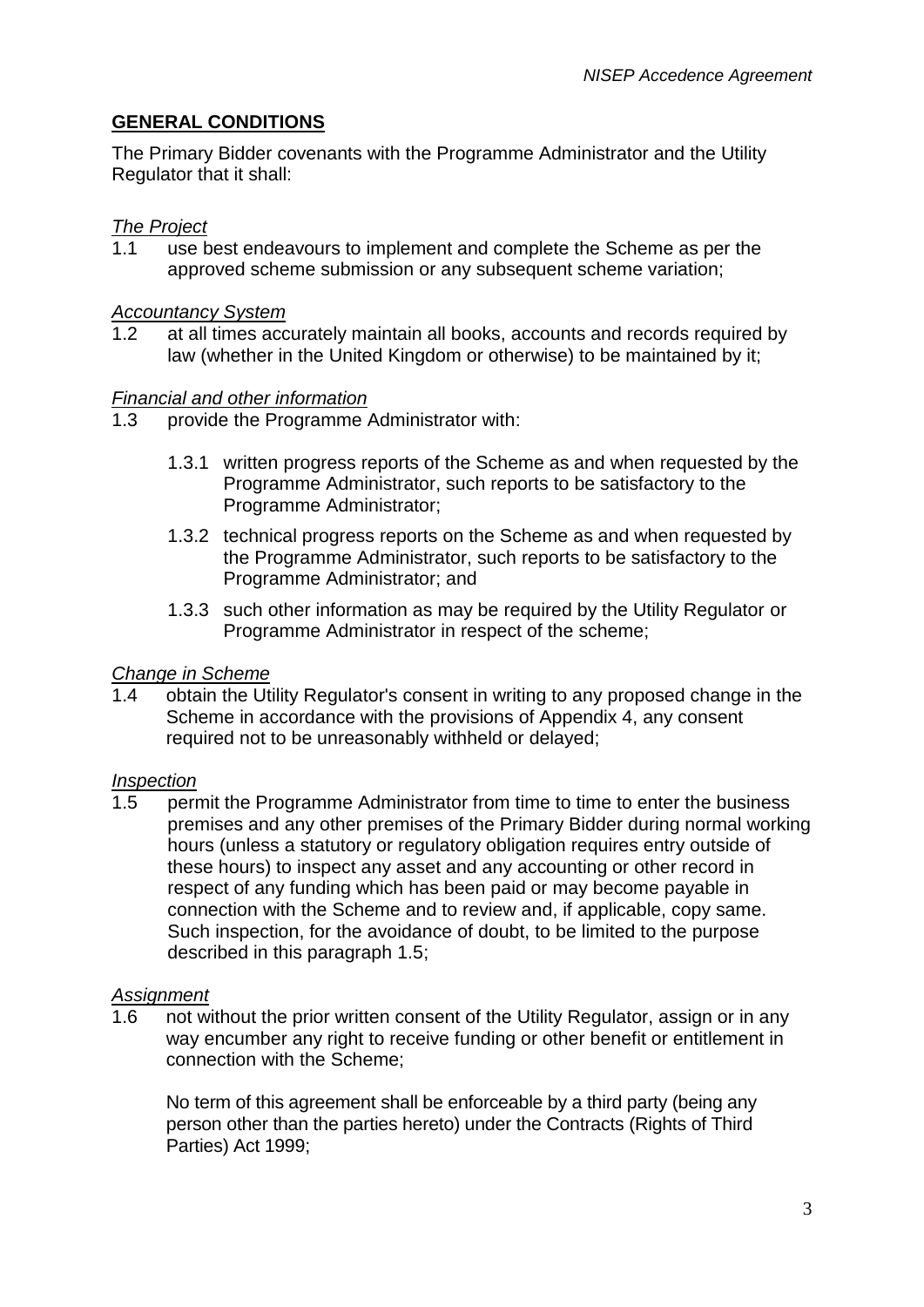# **GENERAL CONDITIONS**

The Primary Bidder covenants with the Programme Administrator and the Utility Regulator that it shall:

#### *The Project*

1.1 use best endeavours to implement and complete the Scheme as per the approved scheme submission or any subsequent scheme variation;

#### *Accountancy System*

1.2 at all times accurately maintain all books, accounts and records required by law (whether in the United Kingdom or otherwise) to be maintained by it;

#### *Financial and other information*

- 1.3 provide the Programme Administrator with:
	- 1.3.1 written progress reports of the Scheme as and when requested by the Programme Administrator, such reports to be satisfactory to the Programme Administrator;
	- 1.3.2 technical progress reports on the Scheme as and when requested by the Programme Administrator, such reports to be satisfactory to the Programme Administrator; and
	- 1.3.3 such other information as may be required by the Utility Regulator or Programme Administrator in respect of the scheme;

#### *Change in Scheme*

1.4 obtain the Utility Regulator's consent in writing to any proposed change in the Scheme in accordance with the provisions of Appendix 4, any consent required not to be unreasonably withheld or delayed;

#### *Inspection*

1.5 permit the Programme Administrator from time to time to enter the business premises and any other premises of the Primary Bidder during normal working hours (unless a statutory or regulatory obligation requires entry outside of these hours) to inspect any asset and any accounting or other record in respect of any funding which has been paid or may become payable in connection with the Scheme and to review and, if applicable, copy same. Such inspection, for the avoidance of doubt, to be limited to the purpose described in this paragraph 1.5;

#### *Assignment*

1.6 not without the prior written consent of the Utility Regulator, assign or in any way encumber any right to receive funding or other benefit or entitlement in connection with the Scheme;

No term of this agreement shall be enforceable by a third party (being any person other than the parties hereto) under the Contracts (Rights of Third Parties) Act 1999;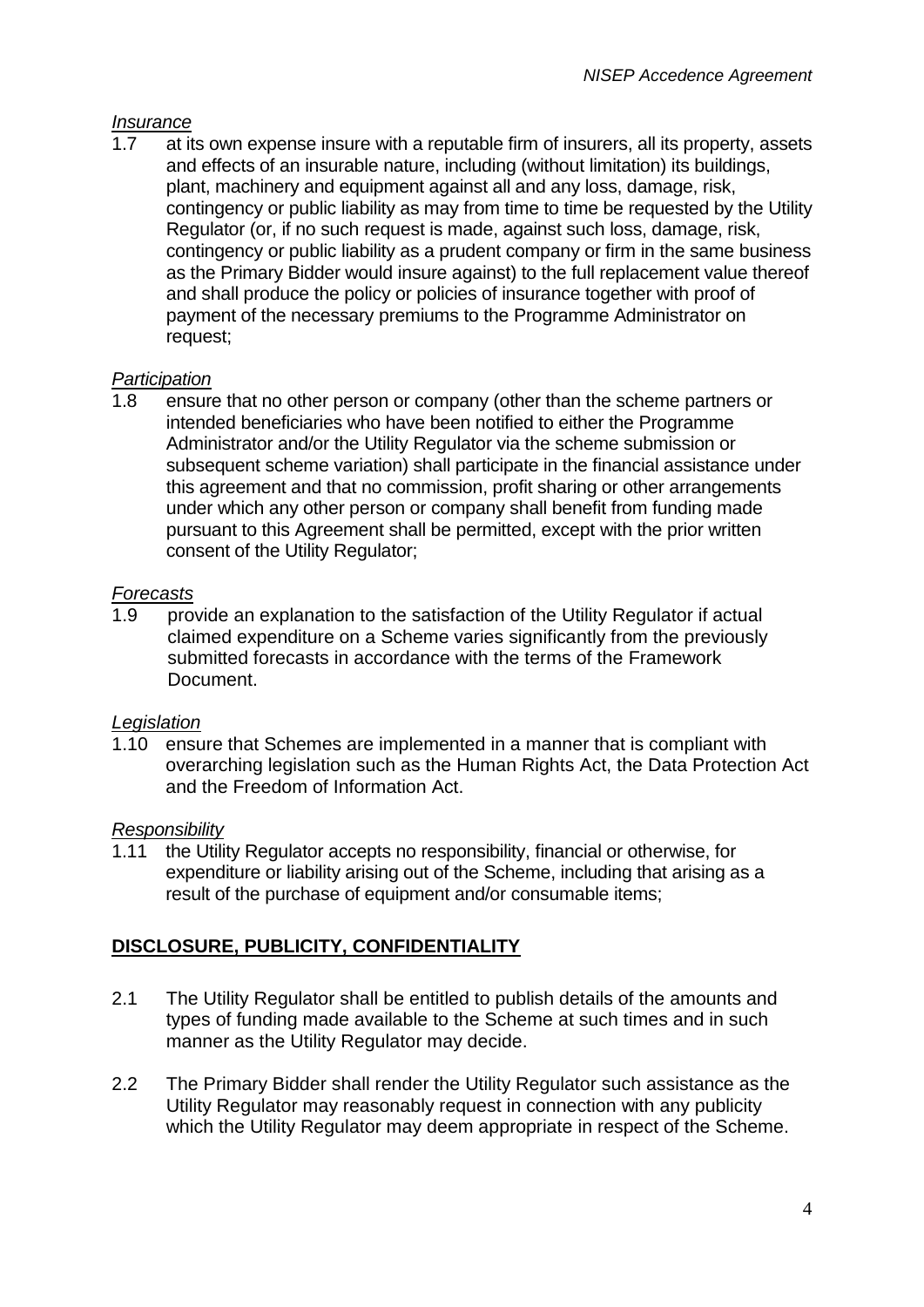#### *Insurance*

1.7 at its own expense insure with a reputable firm of insurers, all its property, assets and effects of an insurable nature, including (without limitation) its buildings, plant, machinery and equipment against all and any loss, damage, risk, contingency or public liability as may from time to time be requested by the Utility Regulator (or, if no such request is made, against such loss, damage, risk, contingency or public liability as a prudent company or firm in the same business as the Primary Bidder would insure against) to the full replacement value thereof and shall produce the policy or policies of insurance together with proof of payment of the necessary premiums to the Programme Administrator on request;

### *Participation*

1.8 ensure that no other person or company (other than the scheme partners or intended beneficiaries who have been notified to either the Programme Administrator and/or the Utility Regulator via the scheme submission or subsequent scheme variation) shall participate in the financial assistance under this agreement and that no commission, profit sharing or other arrangements under which any other person or company shall benefit from funding made pursuant to this Agreement shall be permitted, except with the prior written consent of the Utility Regulator;

#### *Forecasts*

1.9 provide an explanation to the satisfaction of the Utility Regulator if actual claimed expenditure on a Scheme varies significantly from the previously submitted forecasts in accordance with the terms of the Framework Document.

### *Legislation*

1.10 ensure that Schemes are implemented in a manner that is compliant with overarching legislation such as the Human Rights Act, the Data Protection Act and the Freedom of Information Act.

#### *Responsibility*

1.11 the Utility Regulator accepts no responsibility, financial or otherwise, for expenditure or liability arising out of the Scheme, including that arising as a result of the purchase of equipment and/or consumable items;

### **DISCLOSURE, PUBLICITY, CONFIDENTIALITY**

- 2.1 The Utility Regulator shall be entitled to publish details of the amounts and types of funding made available to the Scheme at such times and in such manner as the Utility Regulator may decide.
- 2.2 The Primary Bidder shall render the Utility Regulator such assistance as the Utility Regulator may reasonably request in connection with any publicity which the Utility Regulator may deem appropriate in respect of the Scheme.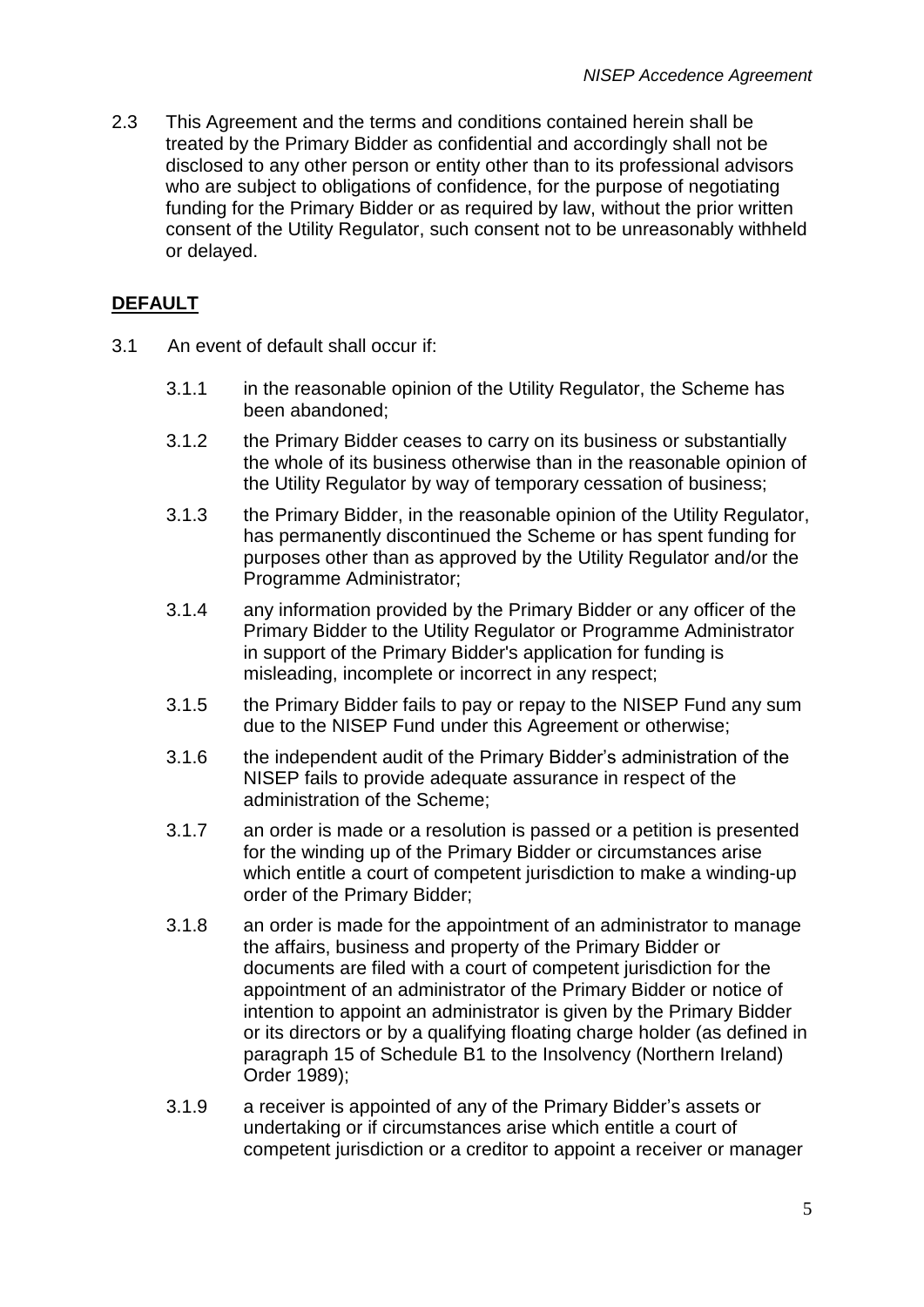2.3 This Agreement and the terms and conditions contained herein shall be treated by the Primary Bidder as confidential and accordingly shall not be disclosed to any other person or entity other than to its professional advisors who are subject to obligations of confidence, for the purpose of negotiating funding for the Primary Bidder or as required by law, without the prior written consent of the Utility Regulator, such consent not to be unreasonably withheld or delayed.

# **DEFAULT**

- 3.1 An event of default shall occur if:
	- 3.1.1 in the reasonable opinion of the Utility Regulator, the Scheme has been abandoned;
	- 3.1.2 the Primary Bidder ceases to carry on its business or substantially the whole of its business otherwise than in the reasonable opinion of the Utility Regulator by way of temporary cessation of business;
	- 3.1.3 the Primary Bidder, in the reasonable opinion of the Utility Regulator, has permanently discontinued the Scheme or has spent funding for purposes other than as approved by the Utility Regulator and/or the Programme Administrator;
	- 3.1.4 any information provided by the Primary Bidder or any officer of the Primary Bidder to the Utility Regulator or Programme Administrator in support of the Primary Bidder's application for funding is misleading, incomplete or incorrect in any respect;
	- 3.1.5 the Primary Bidder fails to pay or repay to the NISEP Fund any sum due to the NISEP Fund under this Agreement or otherwise;
	- 3.1.6 the independent audit of the Primary Bidder"s administration of the NISEP fails to provide adequate assurance in respect of the administration of the Scheme;
	- 3.1.7 an order is made or a resolution is passed or a petition is presented for the winding up of the Primary Bidder or circumstances arise which entitle a court of competent jurisdiction to make a winding-up order of the Primary Bidder;
	- 3.1.8 an order is made for the appointment of an administrator to manage the affairs, business and property of the Primary Bidder or documents are filed with a court of competent jurisdiction for the appointment of an administrator of the Primary Bidder or notice of intention to appoint an administrator is given by the Primary Bidder or its directors or by a qualifying floating charge holder (as defined in paragraph 15 of Schedule B1 to the Insolvency (Northern Ireland) Order 1989);
	- 3.1.9 a receiver is appointed of any of the Primary Bidder"s assets or undertaking or if circumstances arise which entitle a court of competent jurisdiction or a creditor to appoint a receiver or manager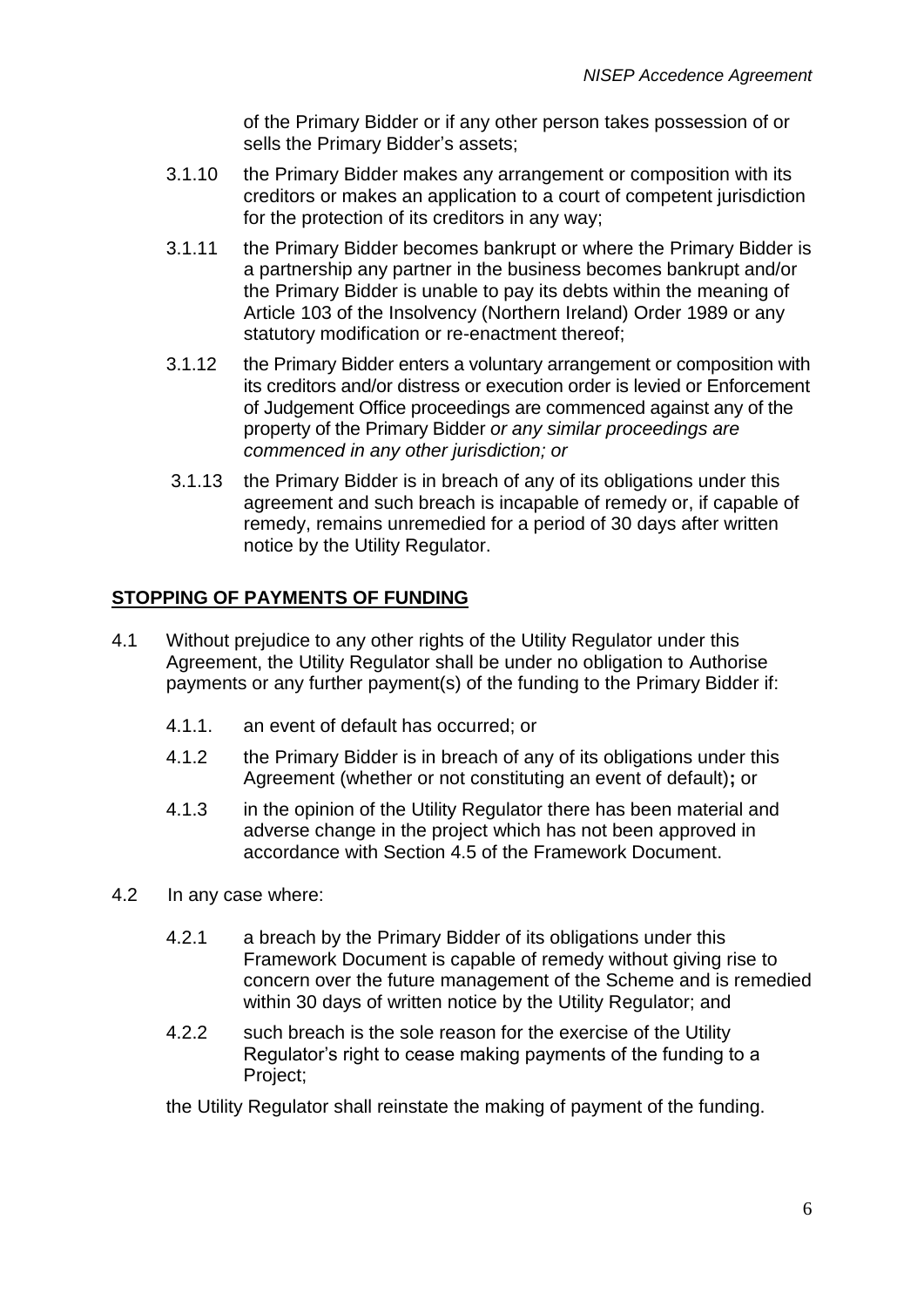of the Primary Bidder or if any other person takes possession of or sells the Primary Bidder's assets;

- 3.1.10 the Primary Bidder makes any arrangement or composition with its creditors or makes an application to a court of competent jurisdiction for the protection of its creditors in any way;
- 3.1.11 the Primary Bidder becomes bankrupt or where the Primary Bidder is a partnership any partner in the business becomes bankrupt and/or the Primary Bidder is unable to pay its debts within the meaning of Article 103 of the Insolvency (Northern Ireland) Order 1989 or any statutory modification or re-enactment thereof;
- 3.1.12 the Primary Bidder enters a voluntary arrangement or composition with its creditors and/or distress or execution order is levied or Enforcement of Judgement Office proceedings are commenced against any of the property of the Primary Bidder *or any similar proceedings are commenced in any other jurisdiction; or*
- 3.1.13 the Primary Bidder is in breach of any of its obligations under this agreement and such breach is incapable of remedy or, if capable of remedy, remains unremedied for a period of 30 days after written notice by the Utility Regulator.

# **STOPPING OF PAYMENTS OF FUNDING**

- 4.1 Without prejudice to any other rights of the Utility Regulator under this Agreement, the Utility Regulator shall be under no obligation to Authorise payments or any further payment(s) of the funding to the Primary Bidder if:
	- 4.1.1. an event of default has occurred; or
	- 4.1.2 the Primary Bidder is in breach of any of its obligations under this Agreement (whether or not constituting an event of default)**;** or
	- 4.1.3 in the opinion of the Utility Regulator there has been material and adverse change in the project which has not been approved in accordance with Section 4.5 of the Framework Document.
- 4.2 In any case where:
	- 4.2.1 a breach by the Primary Bidder of its obligations under this Framework Document is capable of remedy without giving rise to concern over the future management of the Scheme and is remedied within 30 days of written notice by the Utility Regulator; and
	- 4.2.2 such breach is the sole reason for the exercise of the Utility Regulator's right to cease making payments of the funding to a Project;

the Utility Regulator shall reinstate the making of payment of the funding.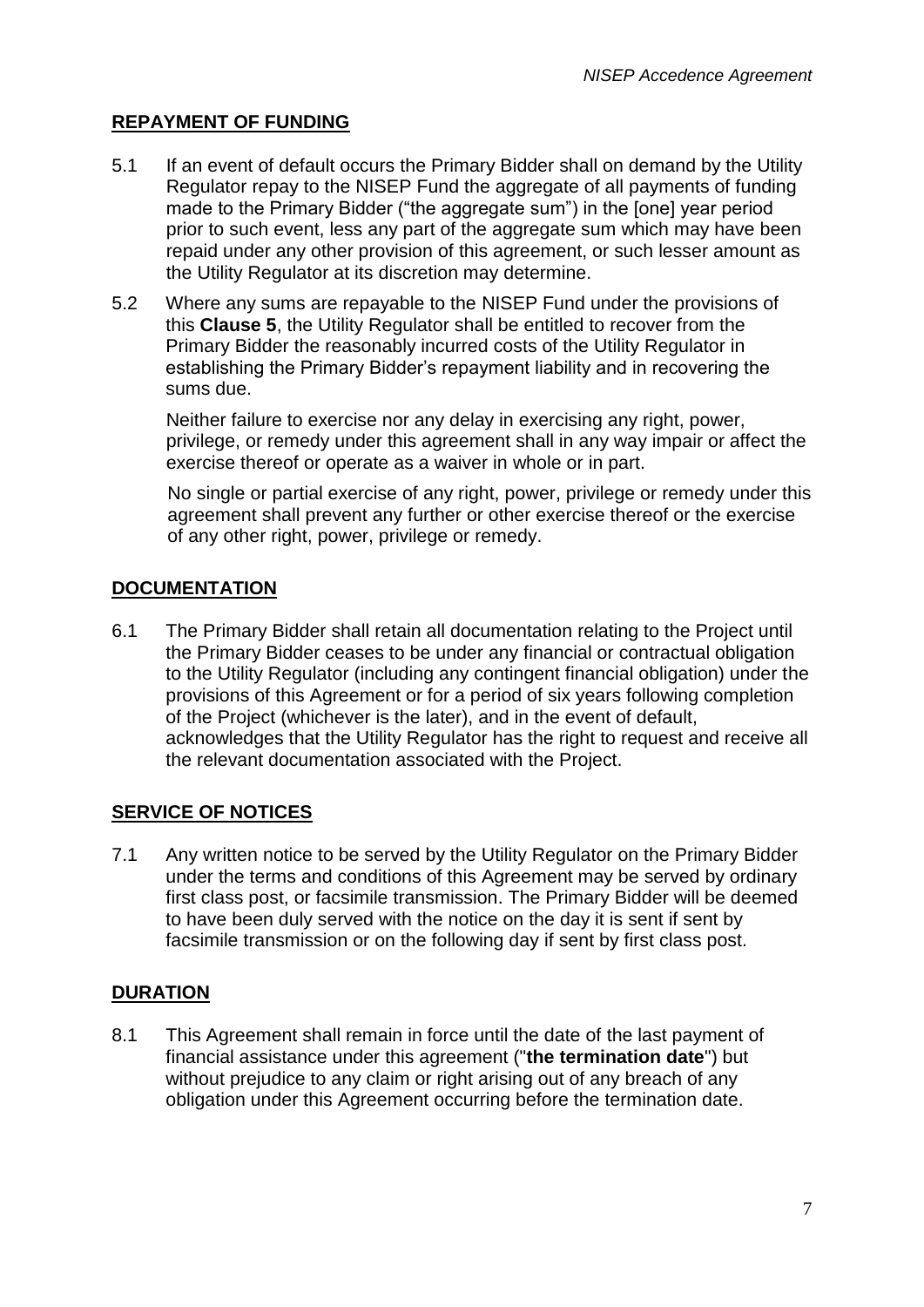# **REPAYMENT OF FUNDING**

- 5.1 If an event of default occurs the Primary Bidder shall on demand by the Utility Regulator repay to the NISEP Fund the aggregate of all payments of funding made to the Primary Bidder ("the aggregate sum") in the [one] year period prior to such event, less any part of the aggregate sum which may have been repaid under any other provision of this agreement, or such lesser amount as the Utility Regulator at its discretion may determine.
- 5.2 Where any sums are repayable to the NISEP Fund under the provisions of this **Clause 5**, the Utility Regulator shall be entitled to recover from the Primary Bidder the reasonably incurred costs of the Utility Regulator in establishing the Primary Bidder"s repayment liability and in recovering the sums due.

Neither failure to exercise nor any delay in exercising any right, power, privilege, or remedy under this agreement shall in any way impair or affect the exercise thereof or operate as a waiver in whole or in part.

No single or partial exercise of any right, power, privilege or remedy under this agreement shall prevent any further or other exercise thereof or the exercise of any other right, power, privilege or remedy.

### **DOCUMENTATION**

6.1 The Primary Bidder shall retain all documentation relating to the Project until the Primary Bidder ceases to be under any financial or contractual obligation to the Utility Regulator (including any contingent financial obligation) under the provisions of this Agreement or for a period of six years following completion of the Project (whichever is the later), and in the event of default, acknowledges that the Utility Regulator has the right to request and receive all the relevant documentation associated with the Project.

### **SERVICE OF NOTICES**

7.1 Any written notice to be served by the Utility Regulator on the Primary Bidder under the terms and conditions of this Agreement may be served by ordinary first class post, or facsimile transmission. The Primary Bidder will be deemed to have been duly served with the notice on the day it is sent if sent by facsimile transmission or on the following day if sent by first class post.

### **DURATION**

8.1 This Agreement shall remain in force until the date of the last payment of financial assistance under this agreement ("**the termination date**") but without prejudice to any claim or right arising out of any breach of any obligation under this Agreement occurring before the termination date.